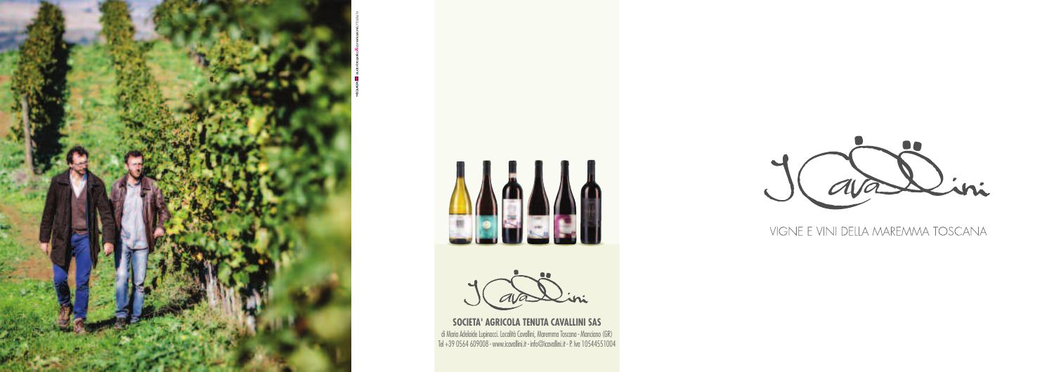

MC QUADRO **studio** fotografico&comunicazione





**SOCIETA' AGRICOLA TENUTA CAVALLINI SAS** di Maria Adelaide Lupinacci. Località Cavallini, Maremma Toscana - Manciano (GR) Tel +39 0564 609008 - www.icavallini.it - info@icavallini.it -P. Iva 10544551004





#### VIGNE E VINI DELLA MAREMMA TOSCANA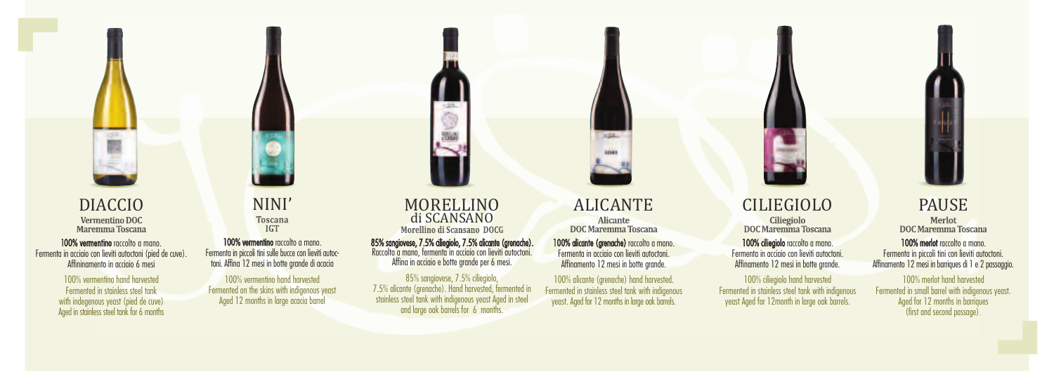

DIACCIO Maremma Toscana

100% vermentino raccolto a mano. Fermenta in acciaio con lieviti autoctoni (pied de cuve). Affininamento in acciaio 6 mesi

85% sangiovese, 7.5% ciliegiolo, 7.5% alicante (grenache). Raccolto <sup>a</sup> mano, fermenta in acciaio con lieviti autoctoni. Affina in acciaio <sup>e</sup> botte grande per <sup>6</sup> mesi.

#### NINI' **Toscana IGT**

100% vermentino hand harvested Fermented on the skins with indigenous yeast Aged 12 months in large acacia barrel

# MORELLINO di SCANSANO<br>Morellino di Scansano DOCG

85% sangiovese, 7.5% ciliegiolo, 7.5% alicante (grenache). Hand harvested, fermented in stainless steel tank with indigenous yeast Aged in steel and large oak barrels for 6 months.

100% vermentino hand harvested Fermented in stainless steel tank with indegenous yeast (pied de cuve) Aged in stainless steel tank for 6 months

100% vermentino raccolto a mano. Fermenta in piccoli tini sulle bucce con lieviti autoctoni.Affina 12 mesi in botte grande di acacia

100% alicante (grenache) raccolto a mano. Fermenta in acciaio con lieviti autoctoni. Affinamento 12 mesi in botte grande.

100% alicante (grenache) hand harvested. Fermented in stainless steel tank with indigenous yeast. Aged for 12 months in large oak barrels.

#### CILIEGIOLO Ciliegiolo **DOC Maremma Toscana**

100% ciliegiolo raccolto a mano. Fermenta in acciaio con lieviti autoctoni.

## ALICANTE

**Alicante** DOC Maremma Toscana

## PAUSE

Merlot **DOC Maremma Toscana** 

100% merlot raccolto a mano. Fermenta in piccoli tini con lieviti autoctoni. Affinamento 12 mesi in barriques di 1 e 2 passaggio.

100% merlot hand harvested Fermented in small barrel with indigenous yeast. Aged for 12 months in barriques (first and second passage)

100% ciliegiolo hand harvested Fermented in stainless steel tank with indigenous yeast Aged for 12month in large oak barrels.



Affinamento 12 mesi in botte grande.